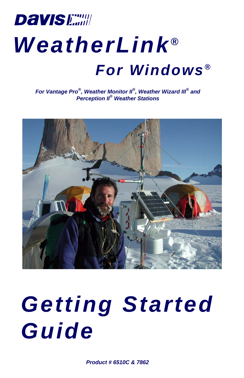# **Davis Earth** *WeatherLink ® For Windows ®*

*For Vantage Pro®, Weather Monitor II®, Weather Wizard III® and Perception II® Weather Stations*



# *Getting Started Guide*

*Product # 6510C & 7862*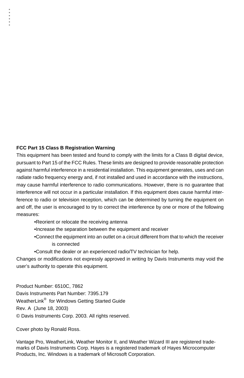#### **FCC Part 15 Class B Registration Warning**

This equipment has been tested and found to comply with the limits for a Class B digital device, pursuant to Part 15 of the FCC Rules. These limits are designed to provide reasonable protection against harmful interference in a residential installation. This equipment generates, uses and can radiate radio frequency energy and, if not installed and used in accordance with the instructions, may cause harmful interference to radio communications. However, there is no guarantee that interference will not occur in a particular installation. If this equipment does cause harmful interference to radio or television reception, which can be determined by turning the equipment on and off, the user is encouraged to try to correct the interference by one or more of the following measures:

- •Reorient or relocate the receiving antenna
- •Increase the separation between the equipment and receiver
- •Connect the equipment into an outlet on a circuit different from that to which the receiver is connected
- •Consult the dealer or an experienced radio/TV technician for help.

Changes or modifications not expressly approved in writing by Davis Instruments may void the user's authority to operate this equipment.

Product Number: 6510C, 7862 Davis Instruments Part Number: 7395.179 WeatherLink® for Windows Getting Started Guide Rev. A (June 18, 2003) © Davis Instruments Corp. 2003. All rights reserved.

Cover photo by Ronald Ross.

Vantage Pro, WeatherLink, Weather Monitor II, and Weather Wizard III are registered trademarks of Davis Instruments Corp. Hayes is a registered trademark of Hayes Microcomputer Products, Inc. Windows is a trademark of Microsoft Corporation.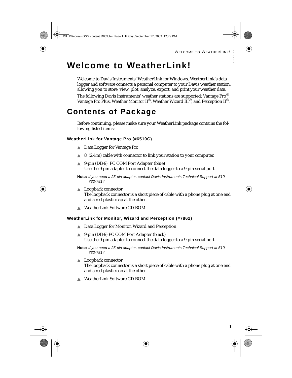# **Welcome to WeatherLink!**

Welcome to Davis Instruments' WeatherLink for Windows. WeatherLink's data logger and software connects a personal computer to your Davis weather station, allowing you to store, view, plot, analyze, export, and print your weather data.

The following Davis Instruments' weather stations are supported: Vantage Pro®, Vantage Pro Plus, Weather Monitor  $II^{\mathbb{B}}$ , Weather Wizard  $III^{\mathbb{B}}$ , and Perception  $II^{\mathbb{B}}$ .

# **Contents of Package**

Before continuing, please make sure your WeatherLink package contains the following listed items:

#### **WeatherLink for Vantage Pro (#6510C)**

- ▲ Data Logger for Vantage Pro
- $\triangle$  8' (2.4 m) cable with connector to link your station to your computer.
- ▲ 9-pin (DB-9) PC COM Port Adapter (blue) Use the 9-pin adapter to connect the data logger to a 9-pin serial port.
- **Note:** *If you need a 25-pin adapter, contact Davis Instruments Technical Support at 510- 732-7814.*
- ▲ Loopback connector The loopback connector is a short piece of cable with a phone plug at one end and a red plastic cap at the other.
- ▲ WeatherLink Software CD ROM

#### **WeatherLink for Monitor, Wizard and Perception (#7862)**

- ▲ Data Logger for Monitor, Wizard and Perception
- ▲ 9-pin (DB-9) PC COM Port Adapter (black) Use the 9-pin adapter to connect the data logger to a 9-pin serial port.
- **Note:** *If you need a 25-pin adapter, contact Davis Instruments Technical Support at 510- 732-7814.*
- ▲ Loopback connector The loopback connector is a short piece of cable with a phone plug at one end and a red plastic cap at the other.
- ▲ WeatherLink Software CD ROM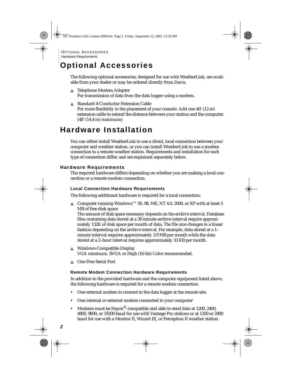# **Optional Accessories**

The following optional accessories, designed for use with WeatherLink, are available from your dealer or may be ordered directly from Davis.

- ▲ Telephone Modem Adapter For transmission of data from the data logger using a modem.
- ▲ Standard 4-Conductor Extension Cable For more flexibility in the placement of your console. Add one 40' (12 m) extension cable to extend the distance between your station and the computer. (48' (14.4 m) maximum)

# **Hardware Installation**

You can either install WeatherLink to use a direct, local connection between your computer and weather station, or you can install WeatherLink to use a modem connection to a remote weather station. Requirements and installation for each type of connection differ, and are explained separately below.

## **Hardware Requirements**

The required hardware differs depending on whether you are making a local connection or a remote modem connection.

### **Local Connection Hardware Requirements**

The following additional hardware is required for a local connection:

▲ Computer running Windows™ 95, 98, ME, NT 4.0, 2000, or XP with at least 5 MB of free disk space

The amount of disk space necessary depends on the archive interval. Database files containing data stored at a 30 minute archive interval require approximately 132K of disk space per month of data. The file size changes in a linear fashion depending on the archive interval. For example, data stored at a 1– minute interval requires approximately 3.9 MB per month while the data stored at a 2–hour interval requires approximately 33 KB per month.

- ▲ Windows-Compatible Display VGA minimum. SVGA or High (16-bit) Color recommended.
- ▲ One Free Serial Port

### **Remote Modem Connection Hardware Requirements**

In addition to the provided hardware and the computer equipment listed above, the following hardware is required for a remote modem connection.

- One external modem to connect to the data logger at the remote site.
- One internal or external modem connected to your computer
- Modems must be Hayes®–compatible and able to send data at 1200, 2400, 4800, 9600, or 19200 baud for use with Vantage Pro stations or at 1200 or 2400 baud for use with a Monitor II, Wizard III, or Perception II weather station.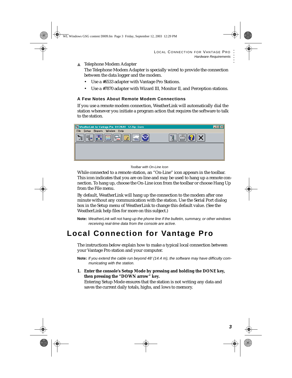#### ▲ Telephone Modem Adapter

The Telephone Modem Adapter is specially wired to provide the connection between the data logger and the modem.

- Use a #6533 adapter with Vantage Pro Stations.
- Use a #7870 adapter with Wizard III, Monitor II, and Perception stations.

### **A Few Notes About Remote Modem Connections**

If you use a remote modem connection, WeatherLink will automatically dial the station whenever you initiate a program action that requires the software to talk to the station.

| WeatherLink for Vantage Pro 04/24/01 12:26p: Dave      |        | $-1$ o |
|--------------------------------------------------------|--------|--------|
| Setup Reports Window Help<br>File                      |        |        |
| 同病同<br>m<br><br>none<br>国<br>W<br>والماليات<br>فطلعهما | Î<br>Æ |        |
|                                                        |        |        |
|                                                        |        |        |
|                                                        |        |        |

#### *Toolbar with On-Line Icon*

While connected to a remote station, an "On-Line" icon appears in the toolbar. This icon indicates that you are on-line and may be used to hang up a remote connection. To hang up, choose the On-Line icon from the toolbar or choose Hang Up from the File menu.

By default, WeatherLink will hang up the connection to the modem after one minute without any communication with the station. Use the Serial Port dialog box in the Setup menu of WeatherLink to change this default value. (See the WeatherLink help files for more on this subject.)

**Note:** *WeatherLink will not hang up the phone line if the bulletin, summary, or other windows receiving real-time data from the console are active.* 

# **Local Connection for Vantage Pro**

The instructions below explain how to make a typical local connection between your Vantage Pro station and your computer.

**Note:** *If you extend the cable run beyond 48' (14.4 m), the software may have difficulty communicating with the station.*

**1. Enter the console's Setup Mode by pressing and holding the DONE key, then pressing the "DOWN arrow" key.** 

Entering Setup Mode ensures that the station is not writing any data and saves the current daily totals, highs, and lows to memory.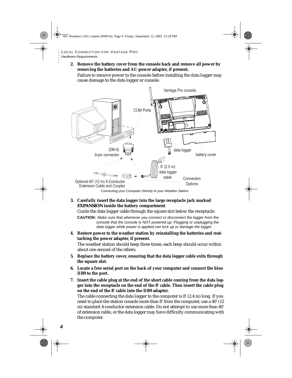**2. Remove the battery cover from the console back and remove all power by removing the batteries and AC-power adapter, if present.**

Failure to remove power to the console before installing the data logger may cause damage to the data logger or console.



*Connecting your Computer Directly to your Weather Station*

### **3. Carefully insert the data logger into the large receptacle jack marked**  *EXPANSION* **inside the battery compartment**

Guide the data logger cable through the square slot below the receptacle.

**CAUTION:** *Make sure that whenever you connect or disconnect the logger from the console that the console is NOT powered up. Plugging or unplugging the data logger while power is applied can lock up or damage the logger.*

**4. Restore power to the weather station by reinstalling the batteries and reattaching the power adapter, if present.**

The weather station should beep three times; each beep should occur within about one second of the others.

- **5. Replace the battery cover, ensuring that the data logger cable exits through the square slot.**
- **6. Locate a free serial port on the back of your computer and connect the blue DB9 to the port.**
- **7. Insert the cable plug at the end of the short cable coming from the data logger into the receptacle on the end of the 8' cable. Then insert the cable plug on the end of the 8' cable into the DB9 adapter.**

The cable connecting the data logger to the computer is 8' (2.4 m) long. If you need to place the station console more than 8' from the computer, use a 40' (12 m) standard 4-conductor extension cable. Do not attempt to use more than 40' of extension cable, or the data logger may have difficulty communicating with the computer.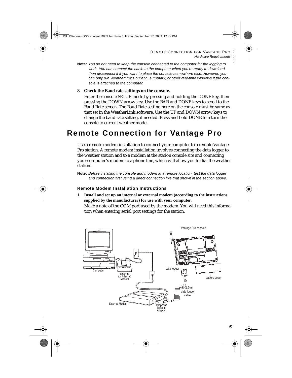- **Note:** *You do not need to keep the console connected to the computer for the logging to work. You can connect the cable to the computer when you're ready to download, then disconnect it if you want to place the console somewhere else. However, you can only run WeatherLink's bulletin, summary, or other real-time windows if the console is attached to the computer.*
- **8. Check the Baud rate settings on the console.**

Enter the console SETUP mode by pressing and holding the DONE key, then pressing the DOWN arrow key. Use the BAR and DONE keys to scroll to the Baud Rate screen. The Baud Rate setting here on the console must be same as that set in the WeatherLink software. Use the UP and DOWN arrow keys to change the baud rate setting, if needed. Press and hold DONE to return the console to current weather mode.

# **Remote Connection for Vantage Pro**

Use a remote modem installation to connect your computer to a remote Vantage Pro station. A remote modem installation involves connecting the data logger to the weather station and to a modem at the station console site and connecting your computer's modem to a phone line, which will allow you to dial the weather station.

**Note:** *Before installing the console and modem at a remote location, test the data logger and connection first using a direct connection like that shown in the section above.*

#### **Remote Modem Installation Instructions**

**1. Install and set up an internal or external modem (according to the instructions supplied by the manufacturer) for use with your computer.** Make a note of the COM port used by the modem. You will need this information when entering serial port settings for the station.

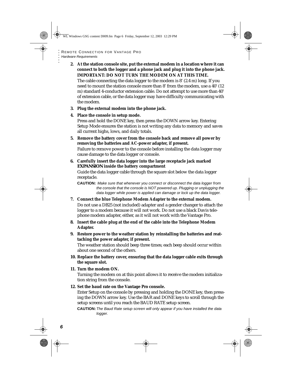**2. At the station console site, put the external modem in a location where it can connect to both the logger and a phone jack and plug it into the phone jack. IMPORTANT: DO NOT TURN THE MODEM ON AT THIS TIME.**

The cable connecting the data logger to the modem is 8' (2.4 m) long. If you need to mount the station console more than 8' from the modem, use a 40' (12 m) standard 4-conductor extension cable. Do not attempt to use more than 40' of extension cable, or the data logger may have difficulty communicating with the modem.

- **3. Plug the external modem into the phone jack.**
- **4. Place the console in setup mode.**

Press and hold the DONE key, then press the DOWN arrow key. Entering Setup Mode ensures the station is not writing any data to memory and saves all current highs, lows, and daily totals.

- **5. Remove the battery cover from the console back and remove all power by removing the batteries and AC-power adapter, if present.** Failure to remove power to the console before installing the data logger may cause damage to the data logger or console.
- **6. Carefully insert the data logger into the large receptacle jack marked**  *EXPANSION* **inside the battery compartment**

Guide the data logger cable through the square slot below the data logger receptacle.

**CAUTION:** *Make sure that whenever you connect or disconnect the data logger from the console that the console is NOT powered up. Plugging or unplugging the data logger while power is applied can damage or lock up the data logger.*

- **7. Connect the blue Telephone Modem Adapter to the external modem.** Do not use a DB25 (not included) adapter and a gender changer to attach the logger to a modem because it will not work. Do not use a black Davis telephone modem adapter, either, as it will not work with the Vantage Pro.
- **8. Insert the cable plug at the end of the cable into the Telephone Modem Adapter.**
- **9. Restore power to the weather station by reinstalling the batteries and reattaching the power adapter, if present.**

The weather station should beep three times; each beep should occur within about one second of the others.

- **10. Replace the battery cover, ensuring that the data logger cable exits through the square slot.**
- **11. Turn the modem ON.**

Turning the modem on at this point allows it to receive the modem initialization string from the console.

**12. Set the baud rate on the Vantage Pro console.** 

Enter Setup on the console by pressing and holding the DONE key, then pressing the DOWN arrow key. Use the BAR and DONE keys to scroll through the setup screens until you reach the BAUD RATE setup screen.

**CAUTION:***The Baud Rate setup screen will only appear if you have installed the data logger.*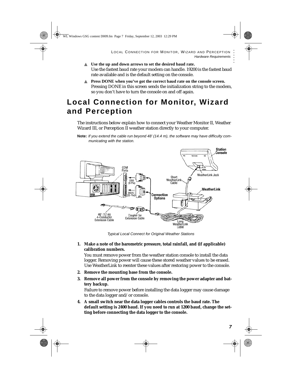- ▲ **Use the up and down arrows to set the desired baud rate.**  Use the fastest baud rate your modem can handle. 19200 is the fastest baud rate available and is the default setting on the console.
- ▲ **Press DONE when you've got the correct baud rate on the console screen.** Pressing DONE in this screen sends the initialization string to the modem, so you don't have to turn the console on and off again.

# **Local Connection for Monitor, Wizard and Perception**

The instructions below explain how to connect your Weather Monitor II, Weather Wizard III, or Perception II weather station directly to your computer.

**Note:** *If you extend the cable run beyond 48' (14.4 m), the software may have difficulty communicating with the station.*



*Typical Local Connect for Original Weather Stations*

### **1. Make a note of the barometric pressure, total rainfall, and (if applicable) calibration numbers.**

You must remove power from the weather station console to install the data logger. Removing power will cause these stored weather values to be erased. Use WeatherLink to reenter these values after restoring power to the console.

- **2. Remove the mounting base from the console.**
- **3. Remove all power from the console by removing the power adapter and battery backup.**

Failure to remove power before installing the data logger may cause damage to the data logger and/or console.

**4. A small switch near the data logger cables controls the baud rate. The default setting is 2400 baud. If you need to run at 1200 baud, change the setting before connecting the data logger to the console.**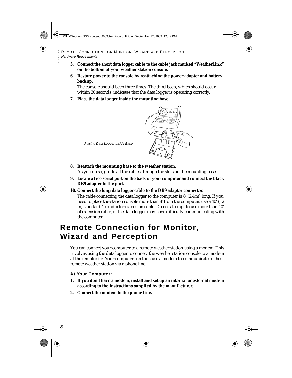- **5. Connect the short data logger cable to the cable jack marked "WeatherLink" on the bottom of your weather station console.**
- **6. Restore power to the console by reattaching the power adapter and battery backup.**

The console should beep three times. The third beep, which should occur within 30 seconds, indicates that the data logger is operating correctly.

**7. Place the data logger inside the mounting base.**



*Placing Data Logger Inside Base*

- **8. Reattach the mounting base to the weather station.** As you do so, guide all the cables through the slots on the mounting base.
- **9. Locate a free serial port on the back of your computer and connect the black DB9 adapter to the port.**
- **10. Connect the long data logger cable to the DB9 adapter connector.**

The cable connecting the data logger to the computer is 8' (2.4 m) long. If you need to place the station console more than 8' from the computer, use a 40' (12 m) standard 4-conductor extension cable. Do not attempt to use more than 40' of extension cable, or the data logger may have difficulty communicating with the computer.

# **Remote Connection for Monitor, Wizard and Perception**

You can connect your computer to a remote weather station using a modem. This involves using the data logger to connect the weather station console to a modem at the remote site. Your computer can then use a modem to communicate to the remote weather station via a phone line.

**At Your Computer:**

- **1. If you don't have a modem, install and set up an internal or external modem according to the instructions supplied by the manufacturer.**
- **2. Connect the modem to the phone line.**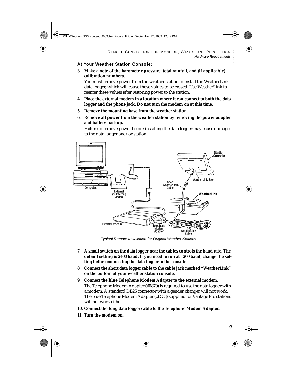#### **At Your Weather Station Console:**

**3. Make a note of the barometric pressure, total rainfall, and (if applicable) calibration numbers.** 

You must remove power from the weather station to install the WeatherLink data logger, which will cause these values to be erased. Use WeatherLink to reenter these values after restoring power to the station.

- **4. Place the external modem in a location where it can connect to both the data logger and the phone jack. Do not turn the modem on at this time.**
- **5. Remove the mounting base from the weather station.**
- **6. Remove all power from the weather station by removing the power adapter and battery backup.**

Failure to remove power before installing the data logger may cause damage to the data logger and/or station.



*Typical Remote Installation for Original Weather Stations*

- **7. A small switch on the data logger near the cables controls the baud rate. The default setting is 2400 baud. If you need to run at 1200 baud, change the setting before connecting the data logger to the console.**
- **8. Connect the short data logger cable to the cable jack marked "WeatherLink" on the bottom of your weather station console.**
- **9. Connect the blue Telephone Modem Adapter to the external modem.** The Telephone Modem Adapter (#7870) is required to use the data logger with a modem. A standard DB25 connector with a gender changer will not work. The blue Telephone Modem Adapter (#6533) supplied for Vantage Pro stations will not work either.
- **10. Connect the long data logger cable to the Telephone Modem Adapter.**
- **11. Turn the modem on.**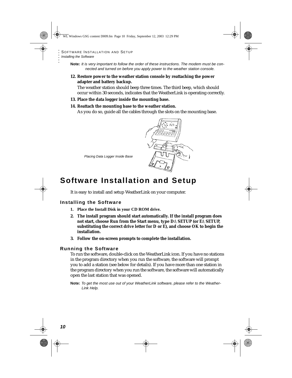**Note:** *It is very important to follow the order of these instructions. The modem must be connected and turned on before you apply power to the weather station console.*

**12. Restore power to the weather station console by reattaching the power adapter and battery backup.**

The weather station should beep three times. The third beep, which should occur within 30 seconds, indicates that the WeatherLink is operating correctly.

**13. Place the data logger inside the mounting base.**

#### **14. Reattach the mounting base to the weather station.**

As you do so, guide all the cables through the slots on the mounting base.

*Placing Data Logger Inside Base*

# **Software Installation and Setup**

It is easy to install and setup WeatherLink on your computer.

### **Installing the Software**

- **1. Place the Install Disk in your CD ROM drive.**
- **2. The install program should start automatically. If the install program does not start, choose Run from the Start menu, type D:\SETUP (or E:\SETUP, substituting the correct drive letter for D or E), and choose OK to begin the installation.**
- **3. Follow the on-screen prompts to complete the installation.**

#### **Running the Software**

To run the software, double-click on the WeatherLink icon. If you have no stations in the program directory when you run the software, the software will prompt you to add a station (see below for details). If you have more than one station in the program directory when you run the software, the software will automatically open the last station that was opened.

**Note:** *To get the most use out of your WeatherLink software, please refer to the Weather-Link Help.*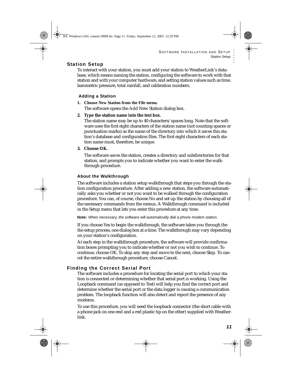### **Station Setup**

To interact with your station, you must add your station to WeatherLink's database, which means naming the station, configuring the software to work with that station and with your computer hardware, and setting station values such as time, barometric pressure, total rainfall, and calibration numbers.

### **Adding a Station**

**1. Choose New Station from the File menu.**

The software opens the Add New Station dialog box.

**2. Type the station name into the text box.**

The station name may be up to 40 characters/spaces long. Note that the software uses the first eight characters of the station name (not counting spaces or punctuation marks) as the name of the directory into which it saves this station's database and configuration files. The first eight characters of each station name must, therefore, be unique.

### **3. Choose OK.**

The software saves the station, creates a directory and subdirectories for that station, and prompts you to indicate whether you want to enter the walkthrough procedure.

### **About the Walkthrough**

The software includes a station setup walkthrough that steps you through the station configuration procedure. After adding a new station, the software automatically asks you whether or not you want to be walked through the configuration procedure. You can, of course, choose No and set up the station by choosing all of the necessary commands from the menus. A Walkthrough command is included in the Setup menu that lets you enter this procedure at any time.

**Note:** *When necessary, the software will automatically dial a phone modem station.* 

If you choose Yes to begin the walkthrough, the software takes you through the the setup process, one dialog box at a time. The walkthrough may vary depending on your station's configuration.

At each step in the walkthrough procedure, the software will provide confirmation boxes prompting you to indicate whether or not you wish to continue. To continue, choose OK. To skip any step and move to the next, choose Skip. To cancel the entire walkthrough procedure, choose Cancel.

# <span id="page-12-0"></span>**Finding the Correct Serial Port**

The software includes a procedure for locating the serial port to which your station is connected or determining whether that serial port is working. Using the Loopback command (as opposed to Test) will help you find the correct port and determine whether the serial port or the data logger is causing a communication problem. The loopback function will also detect and report the presence of any modems.

To use this procedure, you will need the loopback connector (the short cable with a phone jack on one end and a red plastic tip on the other) supplied with Weatherlink.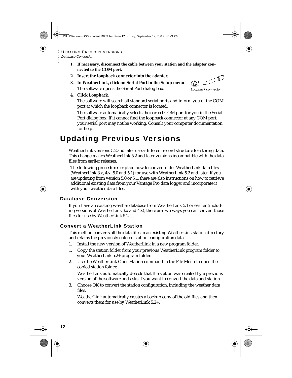- **1. If necessary, disconnect the cable between your station and the adapter connected to the COM port.**
- **2. Insert the loopback connector into the adapter.**
- **3. In WeatherLink, click on Serial Port in the Setup menu.** The software opens the Serial Port dialog box.



The software will search all standard serial ports and inform you of the COM port at which the loopback connector is located.

The software automatically selects the correct COM port for you in the Serial Port dialog box. If it cannot find the loopback connector at any COM port, your serial port may not be working. Consult your computer documentation for help.

# **Updating Previous Versions**

WeatherLink versions 5.2 and later use a different record structure for storing data. This change makes WeatherLink 5.2 and later versions incompatible with the data files from earlier releases.

The following procedures explain how to convert older WeatherLink data files (WeatherLink 3.x, 4.x, 5.0 and 5.1) for use with WeatherLink 5.2 and later. If you are updating from version 5.0 or 5.1, there are also instructions on how to retrieve additional existing data from your Vantage Pro data logger and incorporate it with your weather data files.

### **Database Conversion**

If you have an existing weather database from WeatherLink 5.1 or earlier (including versions of WeatherLink 3.x and 4.x), there are two ways you can convert those files for use by WeatherLink 5.2+.

# **Convert a WeatherLink Station**

This method converts all the data files in an existing WeatherLink station directory and retains the previously entered station configuration data.

- 1. Install the new version of WeatherLink in a new program folder.
- 1. Copy the station folder from your previous WeatherLink program folder to your WeatherLink 5.2+ program folder.
- 2. Use the WeatherLink Open Station command in the File Menu to open the copied station folder.

WeatherLink automatically detects that the station was created by a previous version of the software and asks if you want to convert the data and station.

3. Choose OK to convert the station configuration, including the weather data files.

WeatherLink automatically creates a backup copy of the old files and then converts them for use by WeatherLink 5.2+.

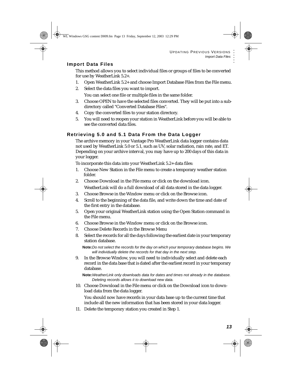### **Import Data Files**

This method allows you to select individual files or groups of files to be converted for use by WeatherLink 5.2+.

- 1. Open WeatherLink 5.2+ and choose Import Database Files from the File menu.
- 2. Select the data files you want to import.

You can select one file or multiple files in the same folder.

- 3. Choose OPEN to have the selected files converted. They will be put into a subdirectory called "Converted Database Files".
- 4. Copy the converted files to your station directory.
- 5. You will need to reopen your station in WeatherLink before you will be able to see the converted data files.

# **Retrieving 5.0 and 5.1 Data From the Data Logger**

The archive memory in your Vantage Pro WeatherLink data logger contains data not used by WeatherLink 5.0 or 5.1, such as UV, solar radiation, rain rate, and ET. Depending on your archive interval, you may have up to 200 days of this data in your logger.

To incorporate this data into your WeatherLink 5.2+ data files:

- 1. Choose New Station in the File menu to create a temporary weather station folder.
- 2. Choose Download in the File menu or click on the download icon.

WeatherLink will do a full download of all data stored in the data logger.

- 3. Choose Browse in the Window menu or click on the Browse icon.
- 4. Scroll to the beginning of the data file, and write down the time and date of the first entry in the database.
- 5. Open your original WeatherLink station using the Open Station command in the File menu.
- 6. Choose Browse in the Window menu or click on the Browse icon.
- 7. Choose Delete Records in the Browse Menu
- 8. Select the records for all the days following the earliest date in your temporary station database.

**Note:***Do not select the records for the day on which your temporary database begins. We will individually delete the records for that day in the next step.*

9. In the Browse Window, you will need to individually select and delete each record in the data base that is dated after the earliest record in your temporary database.

**Note:***WeatherLink only downloads data for dates and times not already in the database. Deleting records allows it to download new data.*

10. Choose Download in the File menu or click on the Download icon to download data from the data logger.

You should now have records in your data base up to the current time that include all the new information that has been stored in your data logger.

11. Delete the temporary station you created in Step 1.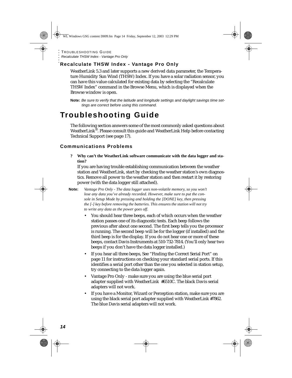# **Recalculate THSW Index - Vantage Pro Only**

WeatherLink 5.3 and later supports a new derived data parameter, the Temperature Humidity Sun Wind (THSW) Index. If you have a solar radiation sensor, you can have this value calculated for existing data by selecting the "Recalculate THSW Index" command in the Browse Menu, which is displayed when the Browse window is open.

**Note:** *Be sure to verify that the latitude and longitude settings and daylight savings time settings are correct before using this command.*

# **Troubleshooting Guide**

The following section answers some of the most commonly asked questions about WeatherLink®. Please consult this guide and WeatherLink Help before contacting Technical Support (see [page 17\)](#page-18-0).

## **Communications Problems**

**? Why can't the WeatherLink software communicate with the data logger and station?**

If you are having trouble establishing communication between the weather station and WeatherLink, start by checking the weather station's own diagnostics. Remove all power to the weather station and then restart it by restoring power (with the data logger still attached).

- **Note:** *Vantage Pro Only The data logger uses non-volatile memory, so you won't lose any data you've already recorded. However, make sure to put the console in Setup Mode by pressing and holding the [DONE] key, then pressing the [-] key before removing the batteries. This ensures the station will not try to write any data as the power goes off.*
	- You should hear three beeps, each of which occurs when the weather station passes one of its diagnostic tests. Each beep follows the previous after about one second. The first beep tells you the processor is running. The second beep will be for the logger (if installed) and the third beep is for the display. If you do not hear one or more of these beeps, contact Davis Instruments at 510-732-7814. (You'll only hear two beeps if you don't have the data logger installed.)
	- If you hear all three beeps, [See "Finding the Correct Serial Port" on](#page-12-0)  [page 11](#page-12-0) for instructions on checking your standard serial ports. If this identifies a serial port other than the one you selected in station setup, try connecting to the data logger again.
	- Vantage Pro Only make sure you are using the blue serial port adapter supplied with WeatherLink #6510C. The black Davis serial adapters will not work.
	- If you have a Monitor, Wizard or Perception station, make sure you are using the black serial port adapter supplied with WeatherLink #7862. The blue Davis serial adapters will not work.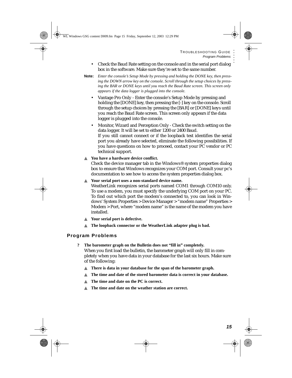- Check the Baud Rate setting on the console and in the serial port dialog box in the software. Make sure they're set to the same number.
- **Note:** *Enter the console's Setup Mode by pressing and holding the DONE key, then pressing the DOWN arrow key on the console. Scroll through the setup choices by pressing the BAR or DONE keys until you reach the Baud Rate screen. This screen only appears if the data logger is plugged into the console.*
	- Vantage Pro Only Enter the console's Setup Mode by pressing and holding the [DONE] key, then pressing the [-] key on the console. Scroll through the setup choices by pressing the [BAR] or [DONE] keys until you reach the Baud Rate screen. This screen only appears if the data logger is plugged into the console.
	- Monitor, Wizard and Perception Only Check the switch setting on the data logger. It will be set to either 1200 or 2400 Baud. If you still cannot connect or if the loopback test identifies the serial port you already have selected, eliminate the following possibilities. If you have questions on how to proceed, contact your PC vendor or PC technical support.

#### ▲ **You have a hardware device conflict.**

Check the device manager tab in the Windows® system properties dialog box to ensure that Windows recognizes your COM port. Consult your pc's documentation to see how to access the system properties dialog box.

#### ▲ **Your serial port uses a non-standard device name.**

WeatherLink recognizes serial ports named COM1 through COM10 only. To use a modem, you must specify the underlying COM port on your PC. To find out which port the modem's connected to, you can look in Windows' System Properties > Device Manager > "modem name" Properties > Modem > Port, where "modem name" is the name of the modem you have installed.

- ▲ **Your serial port is defective.**
- ▲ **The loopback connector or the WeatherLink adapter plug is bad.**

### **Program Problems**

- **? The barometer graph on the Bulletin does not "fill in" completely.**  When you first load the bulletin, the barometer graph will only fill in completely when you have data in your database for the last six hours. Make sure of the following:
	- ▲ **There is data in your database for the span of the barometer graph.**
	- ▲ **The time and date of the stored barometer data is correct in your database.**
	- ▲ **The time and date on the PC is correct.**
	- ▲ **The time and date on the weather station are correct.**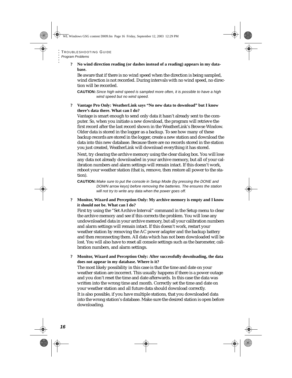**? No wind direction reading (or dashes instead of a reading) appears in my database.**

Be aware that if there is no wind speed when the direction is being sampled, wind direction is not recorded. During intervals with no wind speed, no direction will be recorded.

**CAUTION:***Since high wind speed is sampled more often, it is possible to have a high wind speed but no wind speed.*

#### **? Vantage Pro Only: WeatherLink says "No new data to download" but I know there's data there. What can I do?**

Vantage is smart enough to send only data it hasn't already sent to the computer. So, when you initiate a new download, the program will retrieve the first record after the last record shown in the WeatherLink's Browse Window. Older data is stored in the logger as a backup. To see how many of these backup records are stored in the logger, create a new station and download the data into this new database. Because there are no records stored in the station you just created, WeatherLink will download everything it has stored.

Next, try clearing the archive memory using the clear dialog box. You will lose any data not already downloaded in your archive memory, but all of your calibration numbers and alarm settings will remain intact. If this doesn't work, reboot your weather station (that is, remove, then restore all power to the station).

**CAUTION:** *Make sure to put the console in Setup Mode (by pressing the DONE and DOWN arrow keys) before removing the batteries. The ensures the station will not try to write any data when the power goes off.*

**? Monitor, Wizard and Perception Only: My archive memory is empty and I know it should not be. What can I do?**

First try using the "Set Archive Interval" command in the Setup menu to clear the archive memory and see if this corrects the problem. You will lose any undownloaded data in your archive memory, but all your calibration numbers and alarm settings will remain intact. If this doesn't work, restart your weather station by removing the AC power adapter and the backup battery and then reconnecting them. All data which has not been downloaded will be lost. You will also have to reset all console settings such as the barometer, calibration numbers, and alarm settings.

**? Monitor, Wizard and Perception Only: After successfully downloading, the data does not appear in my database. Where is it?** The most likely possibility in this case is that the time and date on your weather station are incorrect. This usually happens if there is a power outage and you don't reset the time and date afterwards. In this case the data was written into the wrong time and month. Correctly set the time and date on your weather station and all future data should download correctly. It is also possible, if you have multiple stations, that you downloaded data into the wrong station's database. Make sure the desired station is open before downloading.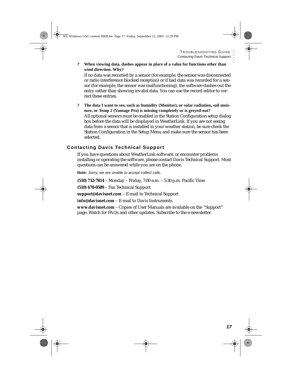- **? When viewing data, dashes appear in place of a value for functions other than wind direction. Why?** If no data was recorded by a sensor (for example, the sensor was disconnected or radio interference blocked reception) or if bad data was recorded for a sensor (for example, the sensor was malfunctioning), the software dashes out the entry rather than showing invalid data. You can use the record editor to correct these entries.
- **? The data I want to see, such as humidity (Monitor), or solar radiation, soil moisture, or Temp 2 (Vantage Pro) is missing completely or is greyed-out?** All optional sensors must be enabled in the Station Configuration setup dialog box before the data will be displayed in WeatherLink. If you are not seeing data from a sensor that is installed in your weather station, be sure check the Station Configuration in the Setup Menu and make sure the sensor has been selected.

## <span id="page-18-0"></span>**Contacting Davis Technical Support**

If you have questions about WeatherLink software, or encounter problems installing or operating the software, please contact Davis Technical Support. Most questions can be answered while you are on the phone.

**Note:** *Sorry, we are unable to accept collect calls.*

**(510) 732-7814** – Monday – Friday, 7:00 a.m. – 5:30 p.m. Pacific Time **(510) 670-0589** – Fax Technical Support **support@davisnet.com** – E-mail to Technical Support **info@davisnet.com** – E-mail to Davis Instruments. **www.davisnet.com** – Copies of User Manuals are available on the "Support" page. Watch for FAQs and other updates. Subscribe to the e-newsletter.